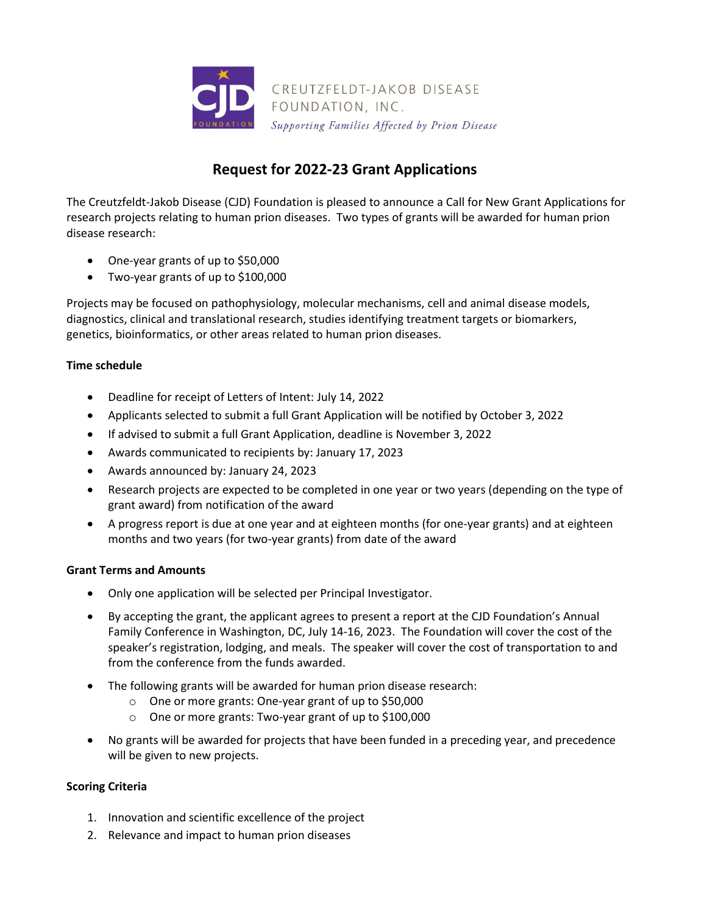

# **Request for 2022-23 Grant Applications**

The Creutzfeldt-Jakob Disease (CJD) Foundation is pleased to announce a Call for New Grant Applications for research projects relating to human prion diseases. Two types of grants will be awarded for human prion disease research:

- One-year grants of up to \$50,000
- Two-year grants of up to \$100,000

Projects may be focused on pathophysiology, molecular mechanisms, cell and animal disease models, diagnostics, clinical and translational research, studies identifying treatment targets or biomarkers, genetics, bioinformatics, or other areas related to human prion diseases.

# **Time schedule**

- Deadline for receipt of Letters of Intent: July 14, 2022
- Applicants selected to submit a full Grant Application will be notified by October 3, 2022
- If advised to submit a full Grant Application, deadline is November 3, 2022
- Awards communicated to recipients by: January 17, 2023
- Awards announced by: January 24, 2023
- Research projects are expected to be completed in one year or two years (depending on the type of grant award) from notification of the award
- A progress report is due at one year and at eighteen months (for one-year grants) and at eighteen months and two years (for two-year grants) from date of the award

# **Grant Terms and Amounts**

- Only one application will be selected per Principal Investigator.
- By accepting the grant, the applicant agrees to present a report at the CJD Foundation's Annual Family Conference in Washington, DC, July 14-16, 2023. The Foundation will cover the cost of the speaker's registration, lodging, and meals. The speaker will cover the cost of transportation to and from the conference from the funds awarded.
- The following grants will be awarded for human prion disease research:
	- o One or more grants: One-year grant of up to \$50,000
	- o One or more grants: Two-year grant of up to \$100,000
- No grants will be awarded for projects that have been funded in a preceding year, and precedence will be given to new projects.

# **Scoring Criteria**

- 1. Innovation and scientific excellence of the project
- 2. Relevance and impact to human prion diseases